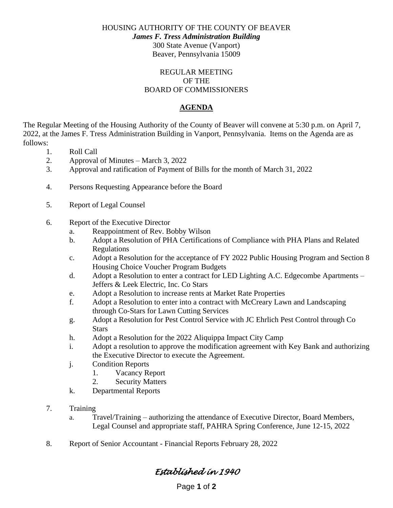HOUSING AUTHORITY OF THE COUNTY OF BEAVER

*James F. Tress Administration Building*

300 State Avenue (Vanport) Beaver, Pennsylvania 15009

#### REGULAR MEETING OF THE BOARD OF COMMISSIONERS

### **AGENDA**

The Regular Meeting of the Housing Authority of the County of Beaver will convene at 5:30 p.m. on April 7, 2022, at the James F. Tress Administration Building in Vanport, Pennsylvania. Items on the Agenda are as follows:

- 1. Roll Call
- 2. Approval of Minutes March 3, 2022
- 3. Approval and ratification of Payment of Bills for the month of March 31, 2022
- 4. Persons Requesting Appearance before the Board
- 5. Report of Legal Counsel
- 6. Report of the Executive Director
	- a. Reappointment of Rev. Bobby Wilson
	- b. Adopt a Resolution of PHA Certifications of Compliance with PHA Plans and Related Regulations
	- c. Adopt a Resolution for the acceptance of FY 2022 Public Housing Program and Section 8 Housing Choice Voucher Program Budgets
	- d. Adopt a Resolution to enter a contract for LED Lighting A.C. Edgecombe Apartments Jeffers & Leek Electric, Inc. Co Stars
	- e. Adopt a Resolution to increase rents at Market Rate Properties
	- f. Adopt a Resolution to enter into a contract with McCreary Lawn and Landscaping through Co-Stars for Lawn Cutting Services
	- g. Adopt a Resolution for Pest Control Service with JC Ehrlich Pest Control through Co **Stars**
	- h. Adopt a Resolution for the 2022 Aliquippa Impact City Camp
	- i. Adopt a resolution to approve the modification agreement with Key Bank and authorizing the Executive Director to execute the Agreement.
	- j. Condition Reports
		- 1. Vacancy Report
		- 2. Security Matters
	- k. Departmental Reports
- 7. Training
	- a. Travel/Training authorizing the attendance of Executive Director, Board Members, Legal Counsel and appropriate staff, PAHRA Spring Conference, June 12-15, 2022
- 8. Report of Senior Accountant Financial Reports February 28, 2022

# *Established in 1940*

Page **1** of **2**